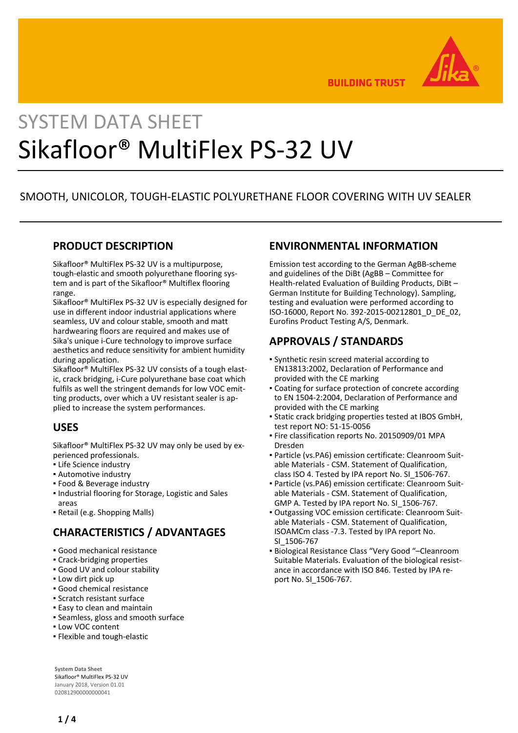

**BUILDING TRUST** 

# SYSTEM DATA SHEET Sikafloor® MultiFlex PS-32 UV

# SMOOTH, UNICOLOR, TOUGH-ELASTIC POLYURETHANE FLOOR COVERING WITH UV SEALER

#### **PRODUCT DESCRIPTION**

Sikafloor® MultiFlex PS-32 UV is a multipurpose, tough-elastic and smooth polyurethane flooring system and is part of the Sikafloor® Multiflex flooring range.

Sikafloor® MultiFlex PS-32 UV is especially designed for use in different indoor industrial applications where seamless, UV and colour stable, smooth and matt hardwearing floors are required and makes use of Sika's unique i-Cure technology to improve surface aesthetics and reduce sensitivity for ambient humidity during application.

Sikafloor® MultiFlex PS-32 UV consists of a tough elastic, crack bridging, i-Cure polyurethane base coat which fulfils as well the stringent demands for low VOC emitting products, over which a UV resistant sealer is applied to increase the system performances.

### **USES**

Sikafloor® MultiFlex PS-32 UV may only be used by experienced professionals.

- **.** Life Science industry
- Automotive industry
- Food & Beverage industry
- **.** Industrial flooring for Storage, Logistic and Sales areas
- Retail (e.g. Shopping Malls)

# **CHARACTERISTICS / ADVANTAGES**

- Good mechanical resistance
- Crack-bridging properties
- Good UV and colour stability
- Low dirt pick up
- Good chemical resistance
- Scratch resistant surface
- **Easy to clean and maintain**
- Seamless, gloss and smooth surface
- **.** Low VOC content
- Flexible and tough-elastic

**System Data Sheet** Sikafloor® MultiFlex PS-32 UV January 2018, Version 01.01 020812900000000041

#### **ENVIRONMENTAL INFORMATION**

Emission test according to the German AgBB-scheme and guidelines of the DiBt (AgBB – Committee for Health-related Evaluation of Building Products, DiBt – German Institute for Building Technology). Sampling, testing and evaluation were performed according to ISO-16000, Report No. 392-2015-00212801\_D\_DE\_02, Eurofins Product Testing A/S, Denmark.

# **APPROVALS / STANDARDS**

- Synthetic resin screed material according to EN13813:2002, Declaration of Performance and provided with the CE marking
- Coating for surface protection of concrete according to EN 1504-2:2004, Declaration of Performance and provided with the CE marking
- Static crack bridging properties tested at IBOS GmbH, test report NO: 51-15-0056
- **Fire classification reports No. 20150909/01 MPA** Dresden
- Particle (vs.PA6) emission certificate: Cleanroom Suit-▪ able Materials - CSM. Statement of Qualification, class ISO 4. Tested by IPA report No. SI\_1506-767.
- Particle (vs.PA6) emission certificate: Cleanroom Suit-▪ able Materials - CSM. Statement of Qualification, GMP A. Tested by IPA report No. SI\_1506-767.
- Outgassing VOC emission certificate: Cleanroom Suit-▪ able Materials - CSM. Statement of Qualification, ISOAMCm class -7.3. Tested by IPA report No. SI\_1506-767
- Biological Resistance Class "Very Good "–Cleanroom Suitable Materials. Evaluation of the biological resistance in accordance with ISO 846. Tested by IPA report No. SI\_1506-767.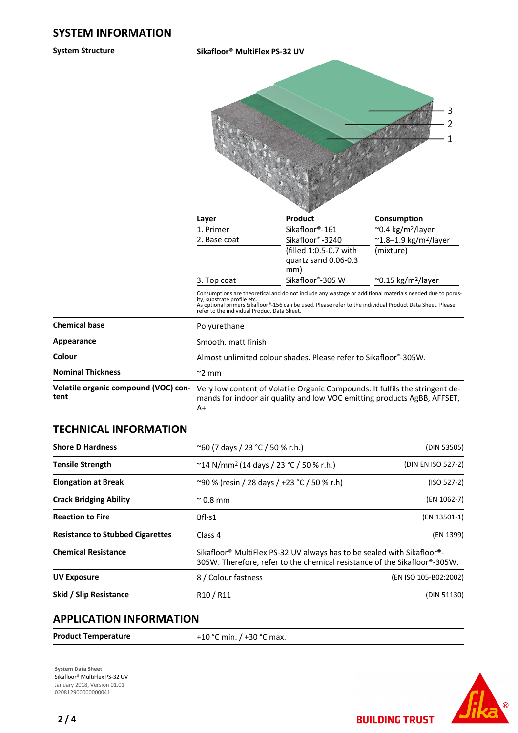**System Structure Sikafloor® MultiFlex PS-32 UV**



|                                                       | Consumption                                |
|-------------------------------------------------------|--------------------------------------------|
| Sikafloor®-161                                        | $\sim$ 0.4 kg/m <sup>2</sup> /layer        |
| Sikafloor®-3240                                       | $^{\sim}$ 1.8-1.9 kg/m <sup>2</sup> /layer |
| (filled 1:0.5-0.7 with<br>quartz sand 0.06-0.3<br>mm) | (mixture)                                  |
| Sikafloor®-305 W                                      | $\sim$ 0.15 kg/m <sup>2</sup> /layer       |
|                                                       | <b>Product</b>                             |

Consumptions are theoretical and do not include any wastage or additional materials needed due to poros-<br>ity, substrate profile etc.<br>As optional primers Sikafloor®-156 can be used. Please refer to the individual Product Da

| <b>Chemical base</b>                         | Polyurethane                                                                                                                                                    |
|----------------------------------------------|-----------------------------------------------------------------------------------------------------------------------------------------------------------------|
| Appearance                                   | Smooth, matt finish                                                                                                                                             |
| Colour                                       | Almost unlimited colour shades. Please refer to Sikafloor®-305W.                                                                                                |
| <b>Nominal Thickness</b>                     | $\approx$ 2 mm                                                                                                                                                  |
| Volatile organic compound (VOC) con-<br>tent | Very low content of Volatile Organic Compounds. It fulfils the stringent de-<br>mands for indoor air quality and low VOC emitting products AgBB, AFFSET,<br>A+. |

### **TECHNICAL INFORMATION**

| <b>Shore D Hardness</b>                 | $^{\circ}$ 60 (7 days / 23 °C / 50 % r.h.)                                                                                                          | (DIN 53505)           |
|-----------------------------------------|-----------------------------------------------------------------------------------------------------------------------------------------------------|-----------------------|
| <b>Tensile Strength</b>                 | $\degree$ 14 N/mm <sup>2</sup> (14 days / 23 $\degree$ C / 50 % r.h.)                                                                               | (DIN EN ISO 527-2)    |
| <b>Elongation at Break</b>              | ~90 % (resin / 28 days / +23 °C / 50 % r.h)                                                                                                         | $(ISO 527-2)$         |
| <b>Crack Bridging Ability</b>           | $^{\sim}$ 0.8 mm                                                                                                                                    | (EN 1062-7)           |
| <b>Reaction to Fire</b>                 | Bfl-s1                                                                                                                                              | (EN 13501-1)          |
| <b>Resistance to Stubbed Cigarettes</b> | Class <sub>4</sub>                                                                                                                                  | (EN 1399)             |
| <b>Chemical Resistance</b>              | Sikafloor® MultiFlex PS-32 UV always has to be sealed with Sikafloor®-<br>305W. Therefore, refer to the chemical resistance of the Sikafloor®-305W. |                       |
| <b>UV Exposure</b>                      | 8 / Colour fastness                                                                                                                                 | (EN ISO 105-B02:2002) |
| Skid / Slip Resistance                  | R <sub>10</sub> / R <sub>11</sub>                                                                                                                   | (DIN 51130)           |
|                                         |                                                                                                                                                     |                       |

### **APPLICATION INFORMATION**

| <b>Product Temperature</b> | +10 °C min. / +30 °C max. |
|----------------------------|---------------------------|
|                            |                           |

**System Data Sheet** Sikafloor® MultiFlex PS-32 UV January 2018, Version 01.01 020812900000000041



**BUILDING TRUST**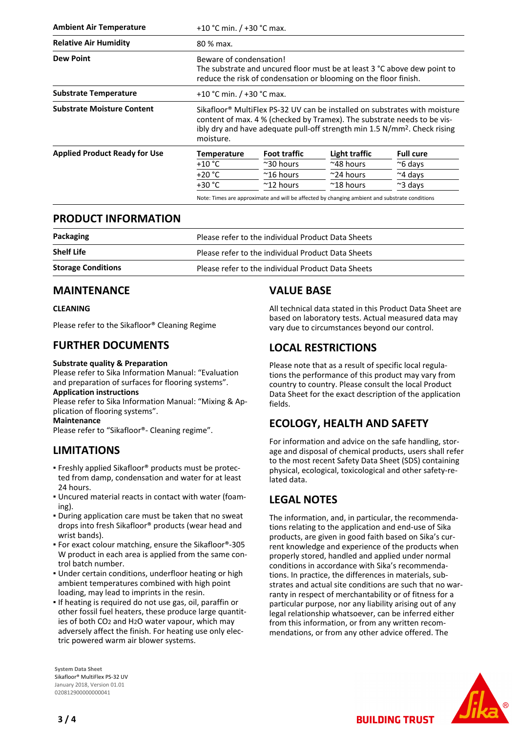| <b>Ambient Air Temperature</b>       |                    | +10 °C min. / +30 °C max.                                                                                                                                                                                                                                  |                                                                                               |                  |
|--------------------------------------|--------------------|------------------------------------------------------------------------------------------------------------------------------------------------------------------------------------------------------------------------------------------------------------|-----------------------------------------------------------------------------------------------|------------------|
| <b>Relative Air Humidity</b>         | 80 % max.          |                                                                                                                                                                                                                                                            |                                                                                               |                  |
| <b>Dew Point</b>                     |                    | Beware of condensation!<br>The substrate and uncured floor must be at least 3 °C above dew point to<br>reduce the risk of condensation or blooming on the floor finish.                                                                                    |                                                                                               |                  |
| <b>Substrate Temperature</b>         |                    | +10 °C min. $/$ +30 °C max.                                                                                                                                                                                                                                |                                                                                               |                  |
| <b>Substrate Moisture Content</b>    | moisture.          | Sikafloor <sup>®</sup> MultiFlex PS-32 UV can be installed on substrates with moisture<br>content of max. 4 % (checked by Tramex). The substrate needs to be vis-<br>ibly dry and have adequate pull-off strength min 1.5 N/mm <sup>2</sup> . Check rising |                                                                                               |                  |
| <b>Applied Product Ready for Use</b> | <b>Temperature</b> | <b>Foot traffic</b>                                                                                                                                                                                                                                        | Light traffic                                                                                 | <b>Full cure</b> |
|                                      | +10 °C             | $~\approx$ 30 hours                                                                                                                                                                                                                                        | $~^{\sim}$ 48 hours                                                                           | $\approx$ 6 days |
|                                      | $+20 °C$           | $~^{\sim}$ 16 hours                                                                                                                                                                                                                                        | $\approx$ 24 hours                                                                            | $~\sim$ 4 days   |
|                                      | $+30 °C$           | $~^{\sim}$ 12 hours                                                                                                                                                                                                                                        | $~^{\sim}$ 18 hours                                                                           | $\approx$ 3 days |
|                                      |                    |                                                                                                                                                                                                                                                            | Note: Times are approximate and will be affected by changing ambient and substrate conditions |                  |

#### **PRODUCT INFORMATION**

| Packaging                 | Please refer to the individual Product Data Sheets |
|---------------------------|----------------------------------------------------|
| <b>Shelf Life</b>         | Please refer to the individual Product Data Sheets |
| <b>Storage Conditions</b> | Please refer to the individual Product Data Sheets |

#### **MAINTENANCE**

#### **CLEANING**

Please refer to the Sikafloor® Cleaning Regime

### **FURTHER DOCUMENTS**

#### **Substrate quality & Preparation**

Please refer to Sika Information Manual: "Evaluation and preparation of surfaces for flooring systems". **Application instructions**

Please refer to Sika Information Manual: "Mixing & Application of flooring systems".

**Maintenance**

Please refer to "Sikafloor®- Cleaning regime".

# **LIMITATIONS**

- Freshly applied Sikafloor® products must be protec-▪ ted from damp, condensation and water for at least 24 hours.
- Uncured material reacts in contact with water (foam-▪ ing).
- During application care must be taken that no sweat drops into fresh Sikafloor® products (wear head and wrist bands).
- For exact colour matching, ensure the Sikafloor®-305 W product in each area is applied from the same control batch number.
- Under certain conditions, underfloor heating or high ambient temperatures combined with high point loading, may lead to imprints in the resin.
- If heating is required do not use gas, oil, paraffin or other fossil fuel heaters, these produce large quantities of both CO2 and H2O water vapour, which may adversely affect the finish. For heating use only electric powered warm air blower systems.

**System Data Sheet** Sikafloor® MultiFlex PS-32 UV January 2018, Version 01.01 020812900000000041

# **VALUE BASE**

All technical data stated in this Product Data Sheet are based on laboratory tests. Actual measured data may vary due to circumstances beyond our control.

# **LOCAL RESTRICTIONS**

Please note that as a result of specific local regulations the performance of this product may vary from country to country. Please consult the local Product Data Sheet for the exact description of the application fields.

# **ECOLOGY, HEALTH AND SAFETY**

For information and advice on the safe handling, storage and disposal of chemical products, users shall refer to the most recent Safety Data Sheet (SDS) containing physical, ecological, toxicological and other safety-related data.

# **LEGAL NOTES**

The information, and, in particular, the recommendations relating to the application and end-use of Sika products, are given in good faith based on Sika's current knowledge and experience of the products when properly stored, handled and applied under normal conditions in accordance with Sika's recommendations. In practice, the differences in materials, substrates and actual site conditions are such that no warranty in respect of merchantability or of fitness for a particular purpose, nor any liability arising out of any legal relationship whatsoever, can be inferred either from this information, or from any written recommendations, or from any other advice offered. The

**BUILDING TRUST**